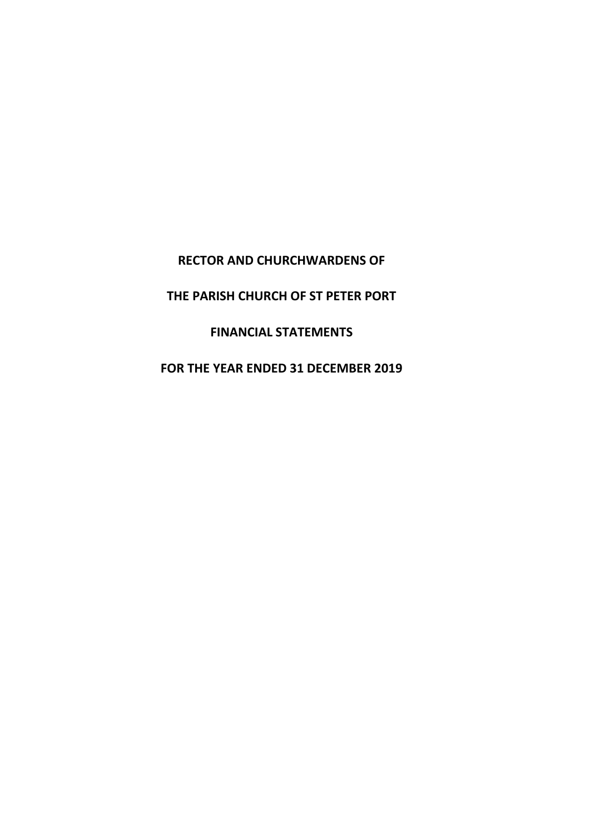**RECTOR AND CHURCHWARDENS OF**

**THE PARISH CHURCH OF ST PETER PORT**

**FINANCIAL STATEMENTS**

**FOR THE YEAR ENDED 31 DECEMBER 2019**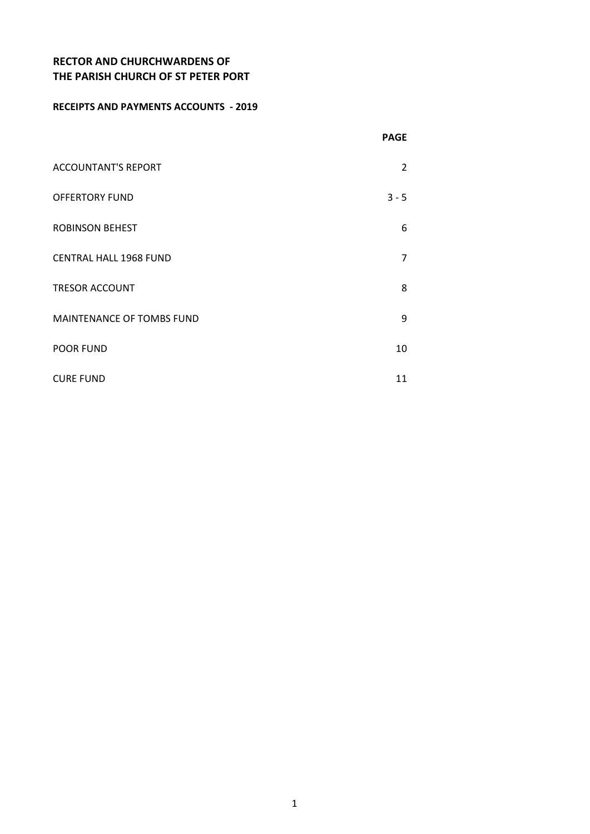#### **RECEIPTS AND PAYMENTS ACCOUNTS - 2019**

|                               | <b>PAGE</b>    |
|-------------------------------|----------------|
| <b>ACCOUNTANT'S REPORT</b>    | 2              |
| <b>OFFERTORY FUND</b>         | $3 - 5$        |
| <b>ROBINSON BEHEST</b>        | 6              |
| <b>CENTRAL HALL 1968 FUND</b> | $\overline{7}$ |
| <b>TRESOR ACCOUNT</b>         | 8              |
| MAINTENANCE OF TOMBS FUND     | 9              |
| <b>POOR FUND</b>              | 10             |
| <b>CURE FUND</b>              | 11             |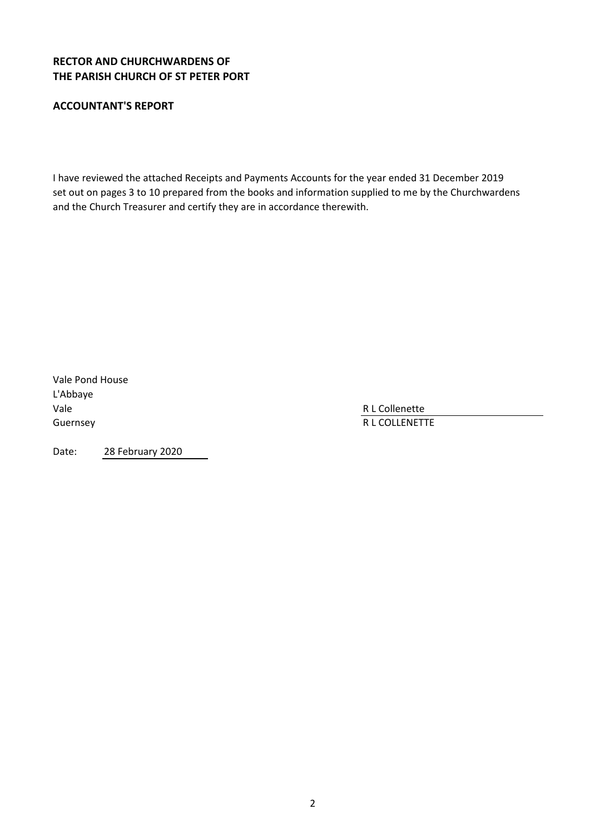### **ACCOUNTANT'S REPORT**

I have reviewed the attached Receipts and Payments Accounts for the year ended 31 December 2019 set out on pages 3 to 10 prepared from the books and information supplied to me by the Churchwardens and the Church Treasurer and certify they are in accordance therewith.

Vale Pond House L'Abbaye Vale R L Collenette

Guernsey **R** L COLLENETTE

Date: 28 February 2020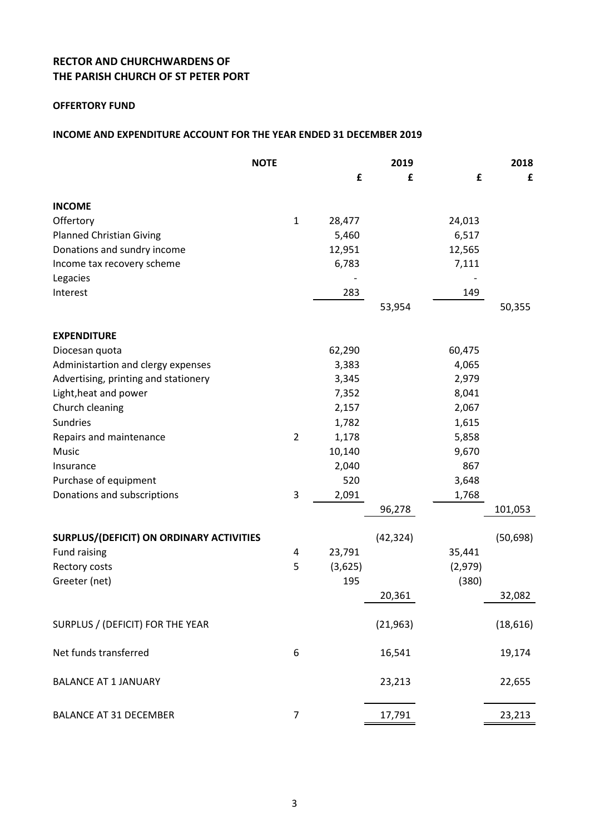### **OFFERTORY FUND**

#### **INCOME AND EXPENDITURE ACCOUNT FOR THE YEAR ENDED 31 DECEMBER 2019**

|                                          | <b>NOTE</b>    |         | 2019      |         | 2018      |
|------------------------------------------|----------------|---------|-----------|---------|-----------|
|                                          |                | £       | £         | £       | £         |
| <b>INCOME</b>                            |                |         |           |         |           |
| Offertory                                | $\mathbf{1}$   | 28,477  |           | 24,013  |           |
| <b>Planned Christian Giving</b>          |                | 5,460   |           | 6,517   |           |
| Donations and sundry income              |                | 12,951  |           | 12,565  |           |
| Income tax recovery scheme               |                | 6,783   |           | 7,111   |           |
| Legacies                                 |                |         |           |         |           |
| Interest                                 |                | 283     |           | 149     |           |
|                                          |                |         | 53,954    |         | 50,355    |
| <b>EXPENDITURE</b>                       |                |         |           |         |           |
| Diocesan quota                           |                | 62,290  |           | 60,475  |           |
| Administartion and clergy expenses       |                | 3,383   |           | 4,065   |           |
| Advertising, printing and stationery     |                | 3,345   |           | 2,979   |           |
| Light, heat and power                    |                | 7,352   |           | 8,041   |           |
| Church cleaning                          |                | 2,157   |           | 2,067   |           |
| <b>Sundries</b>                          |                | 1,782   |           | 1,615   |           |
| Repairs and maintenance                  | $\overline{2}$ | 1,178   |           | 5,858   |           |
| Music                                    |                | 10,140  |           | 9,670   |           |
| Insurance                                |                | 2,040   |           | 867     |           |
| Purchase of equipment                    |                | 520     |           | 3,648   |           |
| Donations and subscriptions              | 3              | 2,091   |           | 1,768   |           |
|                                          |                |         | 96,278    |         | 101,053   |
| SURPLUS/(DEFICIT) ON ORDINARY ACTIVITIES |                |         | (42, 324) |         | (50, 698) |
| Fund raising                             | 4              | 23,791  |           | 35,441  |           |
| Rectory costs                            | 5              | (3,625) |           | (2,979) |           |
| Greeter (net)                            |                | 195     |           | (380)   |           |
|                                          |                |         | 20,361    |         | 32,082    |
| SURPLUS / (DEFICIT) FOR THE YEAR         |                |         | (21, 963) |         | (18, 616) |
| Net funds transferred                    | 6              |         | 16,541    |         | 19,174    |
| <b>BALANCE AT 1 JANUARY</b>              |                |         | 23,213    |         | 22,655    |
| <b>BALANCE AT 31 DECEMBER</b>            | $\overline{7}$ |         | 17,791    |         | 23,213    |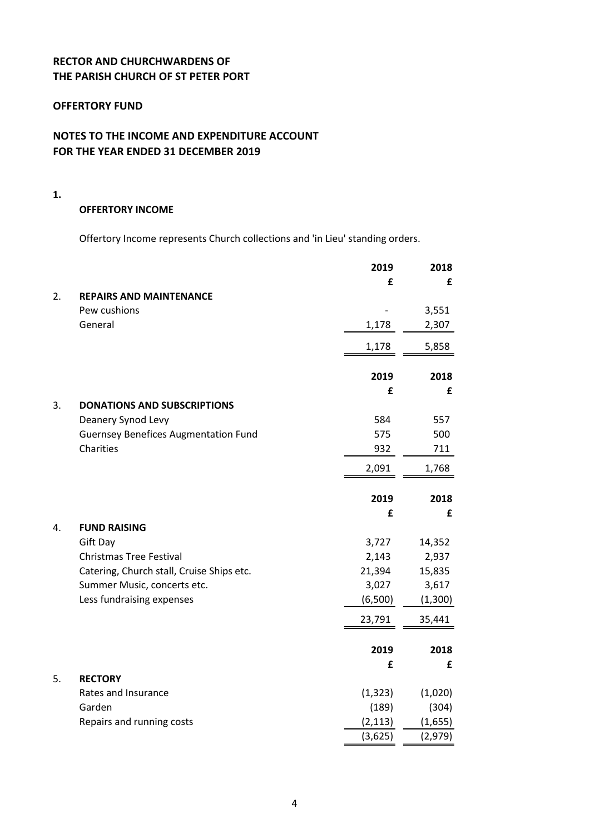#### **OFFERTORY FUND**

### **NOTES TO THE INCOME AND EXPENDITURE ACCOUNT FOR THE YEAR ENDED 31 DECEMBER 2019**

**1.**

#### **OFFERTORY INCOME**

Offertory Income represents Church collections and 'in Lieu' standing orders.

|    |                                             | 2019     | 2018    |
|----|---------------------------------------------|----------|---------|
|    |                                             | £        | £       |
| 2. | <b>REPAIRS AND MAINTENANCE</b>              |          |         |
|    | Pew cushions                                |          | 3,551   |
|    | General                                     | 1,178    | 2,307   |
|    |                                             | 1,178    | 5,858   |
|    |                                             | 2019     | 2018    |
|    |                                             | £        | £       |
| 3. | <b>DONATIONS AND SUBSCRIPTIONS</b>          |          |         |
|    | Deanery Synod Levy                          | 584      | 557     |
|    | <b>Guernsey Benefices Augmentation Fund</b> | 575      | 500     |
|    | Charities                                   | 932      | 711     |
|    |                                             | 2,091    | 1,768   |
|    |                                             | 2019     | 2018    |
|    |                                             | £        | £       |
| 4. | <b>FUND RAISING</b>                         |          |         |
|    | Gift Day                                    | 3,727    | 14,352  |
|    | <b>Christmas Tree Festival</b>              | 2,143    | 2,937   |
|    | Catering, Church stall, Cruise Ships etc.   | 21,394   | 15,835  |
|    | Summer Music, concerts etc.                 | 3,027    | 3,617   |
|    | Less fundraising expenses                   | (6,500)  | (1,300) |
|    |                                             | 23,791   | 35,441  |
|    |                                             | 2019     | 2018    |
|    |                                             | £        | £       |
| 5. | <b>RECTORY</b>                              |          |         |
|    | Rates and Insurance                         | (1, 323) | (1,020) |
|    | Garden                                      | (189)    | (304)   |
|    | Repairs and running costs                   | (2, 113) | (1,655) |
|    |                                             | (3,625)  | (2,979) |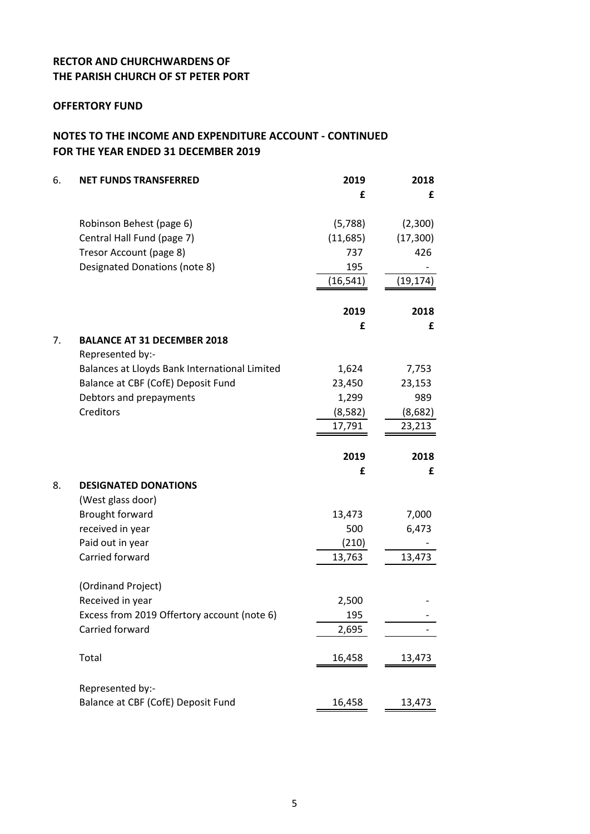#### **OFFERTORY FUND**

### **NOTES TO THE INCOME AND EXPENDITURE ACCOUNT - CONTINUED FOR THE YEAR ENDED 31 DECEMBER 2019**

| 6. | <b>NET FUNDS TRANSFERRED</b>                  | 2019      | 2018      |
|----|-----------------------------------------------|-----------|-----------|
|    |                                               | £         | £         |
|    | Robinson Behest (page 6)                      | (5,788)   | (2,300)   |
|    | Central Hall Fund (page 7)                    | (11,685)  | (17, 300) |
|    | Tresor Account (page 8)                       | 737       | 426       |
|    | Designated Donations (note 8)                 | 195       |           |
|    |                                               | (16, 541) | (19, 174) |
|    |                                               | 2019      | 2018      |
|    |                                               | £         | £         |
| 7. | <b>BALANCE AT 31 DECEMBER 2018</b>            |           |           |
|    | Represented by:-                              |           |           |
|    | Balances at Lloyds Bank International Limited | 1,624     | 7,753     |
|    | Balance at CBF (CofE) Deposit Fund            | 23,450    | 23,153    |
|    | Debtors and prepayments                       | 1,299     | 989       |
|    | Creditors                                     | (8,582)   | (8,682)   |
|    |                                               | 17,791    | 23,213    |
|    |                                               |           |           |
|    |                                               | 2019      | 2018      |
|    |                                               | £         | £         |
| 8. | <b>DESIGNATED DONATIONS</b>                   |           |           |
|    | (West glass door)                             |           |           |
|    | Brought forward                               | 13,473    | 7,000     |
|    | received in year                              | 500       | 6,473     |
|    | Paid out in year                              | (210)     |           |
|    | Carried forward                               | 13,763    | 13,473    |
|    | (Ordinand Project)                            |           |           |
|    | Received in year                              | 2,500     |           |
|    | Excess from 2019 Offertory account (note 6)   | 195       |           |
|    | Carried forward                               | 2,695     |           |
|    | Total                                         | 16,458    | 13,473    |
|    | Represented by:-                              |           |           |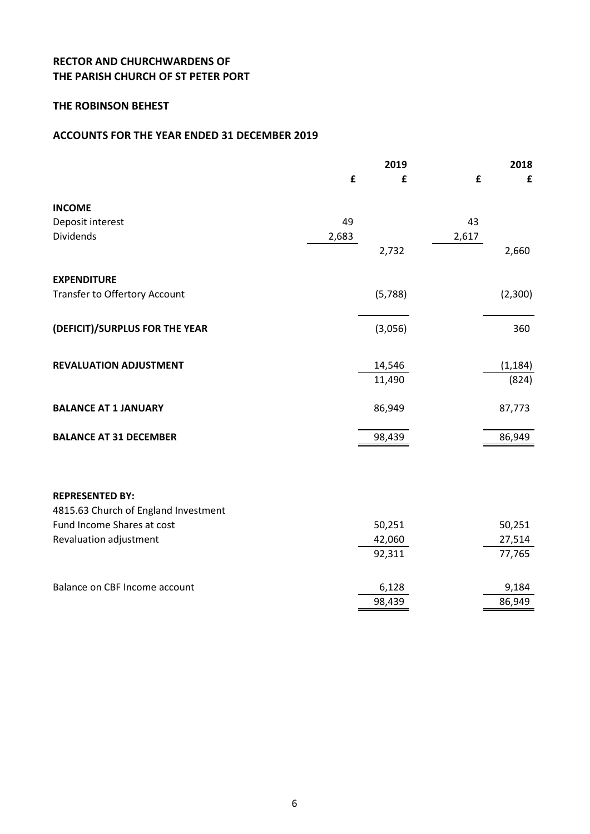### **THE ROBINSON BEHEST**

#### **ACCOUNTS FOR THE YEAR ENDED 31 DECEMBER 2019**

|                                      |       | 2019    |       | 2018     |
|--------------------------------------|-------|---------|-------|----------|
|                                      | £     | £       | £     | £        |
| <b>INCOME</b>                        |       |         |       |          |
| Deposit interest                     | 49    |         | 43    |          |
| <b>Dividends</b>                     | 2,683 |         | 2,617 |          |
|                                      |       | 2,732   |       | 2,660    |
| <b>EXPENDITURE</b>                   |       |         |       |          |
| Transfer to Offertory Account        |       | (5,788) |       | (2,300)  |
| (DEFICIT)/SURPLUS FOR THE YEAR       |       | (3,056) |       | 360      |
|                                      |       |         |       |          |
| <b>REVALUATION ADJUSTMENT</b>        |       | 14,546  |       | (1, 184) |
|                                      |       | 11,490  |       | (824)    |
| <b>BALANCE AT 1 JANUARY</b>          |       | 86,949  |       | 87,773   |
| <b>BALANCE AT 31 DECEMBER</b>        |       | 98,439  |       | 86,949   |
|                                      |       |         |       |          |
| <b>REPRESENTED BY:</b>               |       |         |       |          |
| 4815.63 Church of England Investment |       |         |       |          |
| Fund Income Shares at cost           |       | 50,251  |       | 50,251   |
| Revaluation adjustment               |       | 42,060  |       | 27,514   |
|                                      |       | 92,311  |       | 77,765   |
| Balance on CBF Income account        |       | 6,128   |       | 9,184    |
|                                      |       | 98,439  |       | 86,949   |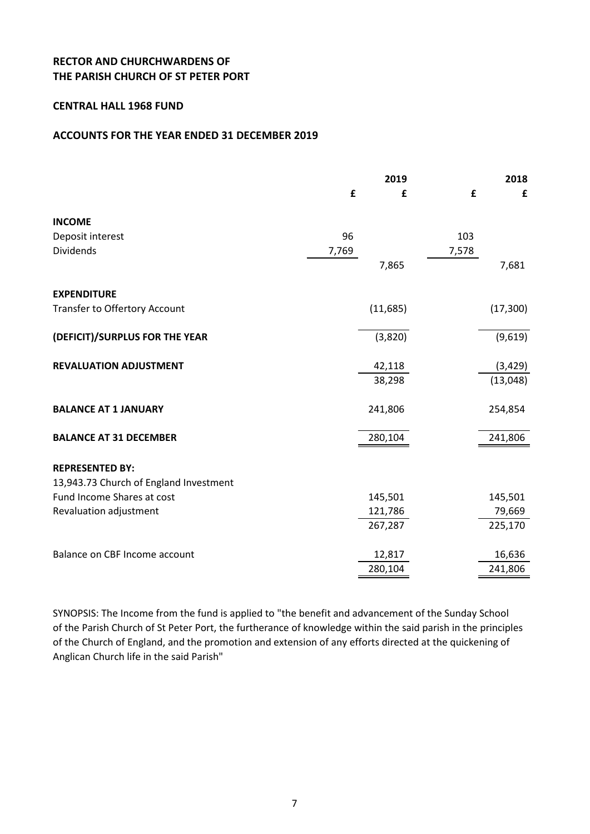#### **CENTRAL HALL 1968 FUND**

#### **ACCOUNTS FOR THE YEAR ENDED 31 DECEMBER 2019**

|                                        |       | 2019     |       | 2018      |
|----------------------------------------|-------|----------|-------|-----------|
|                                        | £     | £        | £     | £         |
| <b>INCOME</b>                          |       |          |       |           |
| Deposit interest                       | 96    |          | 103   |           |
| <b>Dividends</b>                       | 7,769 |          | 7,578 |           |
|                                        |       | 7,865    |       | 7,681     |
| <b>EXPENDITURE</b>                     |       |          |       |           |
| Transfer to Offertory Account          |       | (11,685) |       | (17, 300) |
| (DEFICIT)/SURPLUS FOR THE YEAR         |       | (3,820)  |       | (9,619)   |
| <b>REVALUATION ADJUSTMENT</b>          |       | 42,118   |       | (3, 429)  |
|                                        |       | 38,298   |       | (13,048)  |
| <b>BALANCE AT 1 JANUARY</b>            |       | 241,806  |       | 254,854   |
| <b>BALANCE AT 31 DECEMBER</b>          |       | 280,104  |       | 241,806   |
| <b>REPRESENTED BY:</b>                 |       |          |       |           |
| 13,943.73 Church of England Investment |       |          |       |           |
| Fund Income Shares at cost             |       | 145,501  |       | 145,501   |
| Revaluation adjustment                 |       | 121,786  |       | 79,669    |
|                                        |       | 267,287  |       | 225,170   |
| Balance on CBF Income account          |       | 12,817   |       | 16,636    |
|                                        |       | 280,104  |       | 241,806   |

SYNOPSIS: The Income from the fund is applied to "the benefit and advancement of the Sunday School of the Parish Church of St Peter Port, the furtherance of knowledge within the said parish in the principles of the Church of England, and the promotion and extension of any efforts directed at the quickening of Anglican Church life in the said Parish"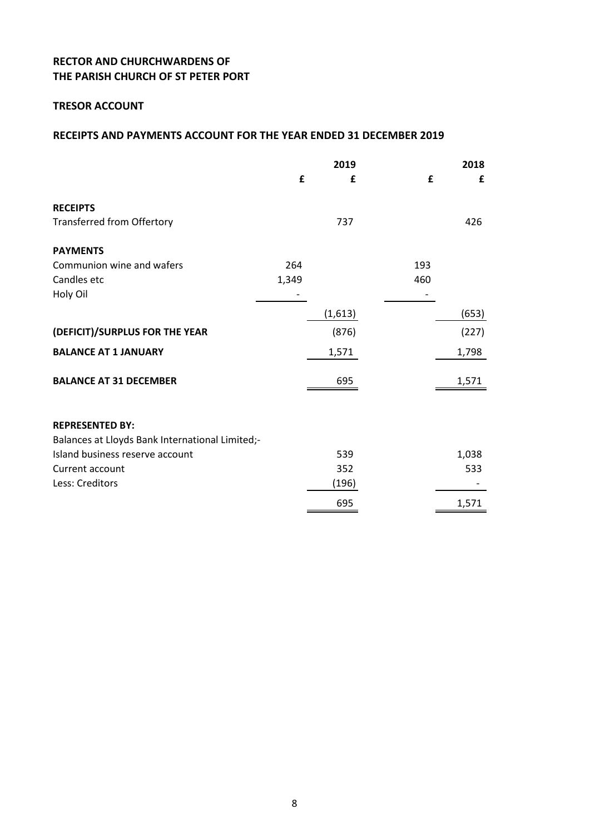### **TRESOR ACCOUNT**

|                                                 |       | 2019    |     | 2018  |
|-------------------------------------------------|-------|---------|-----|-------|
|                                                 | £     | £       | £   | £     |
| <b>RECEIPTS</b>                                 |       |         |     |       |
| <b>Transferred from Offertory</b>               |       | 737     |     | 426   |
| <b>PAYMENTS</b>                                 |       |         |     |       |
| Communion wine and wafers                       | 264   |         | 193 |       |
| Candles etc                                     | 1,349 |         | 460 |       |
| Holy Oil                                        |       |         |     |       |
|                                                 |       | (1,613) |     | (653) |
| (DEFICIT)/SURPLUS FOR THE YEAR                  |       | (876)   |     | (227) |
| <b>BALANCE AT 1 JANUARY</b>                     |       | 1,571   |     | 1,798 |
| <b>BALANCE AT 31 DECEMBER</b>                   |       | 695     |     | 1,571 |
| <b>REPRESENTED BY:</b>                          |       |         |     |       |
| Balances at Lloyds Bank International Limited;- |       |         |     |       |
| Island business reserve account                 |       | 539     |     | 1,038 |
| Current account                                 |       | 352     |     | 533   |
| Less: Creditors                                 |       | (196)   |     |       |
|                                                 |       | 695     |     | 1,571 |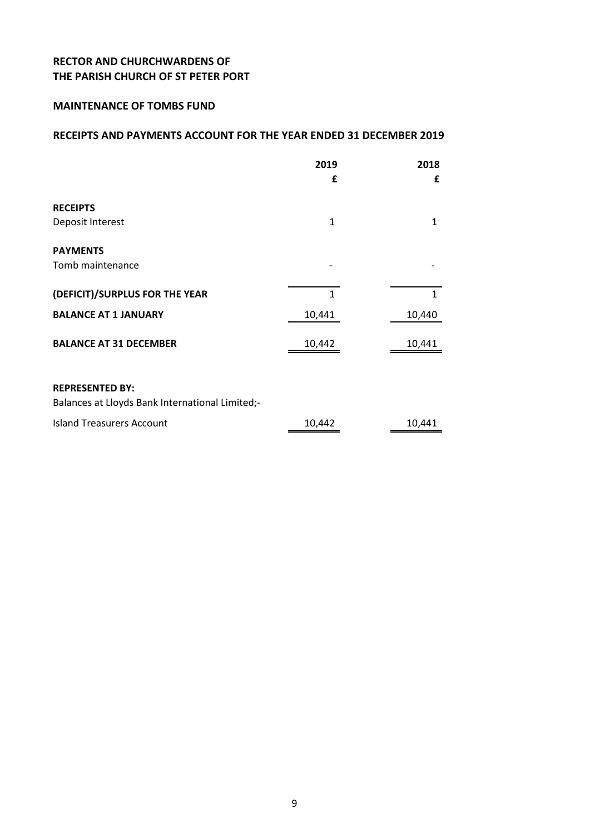#### **MAINTENANCE OF TOMBS FUND**

|                                                                           | 2019<br>£    | 2018<br>£    |
|---------------------------------------------------------------------------|--------------|--------------|
| <b>RECEIPTS</b>                                                           |              |              |
| Deposit Interest                                                          | $\mathbf{1}$ | 1            |
| <b>PAYMENTS</b>                                                           |              |              |
| Tomb maintenance                                                          |              |              |
| (DEFICIT)/SURPLUS FOR THE YEAR                                            | $\mathbf{1}$ | $\mathbf{1}$ |
| <b>BALANCE AT 1 JANUARY</b>                                               | 10,441       | 10,440       |
| <b>BALANCE AT 31 DECEMBER</b>                                             | 10,442       | 10,441       |
| <b>REPRESENTED BY:</b><br>Balances at Lloyds Bank International Limited;- |              |              |
| <b>Island Treasurers Account</b>                                          | 10,442       | 10,441       |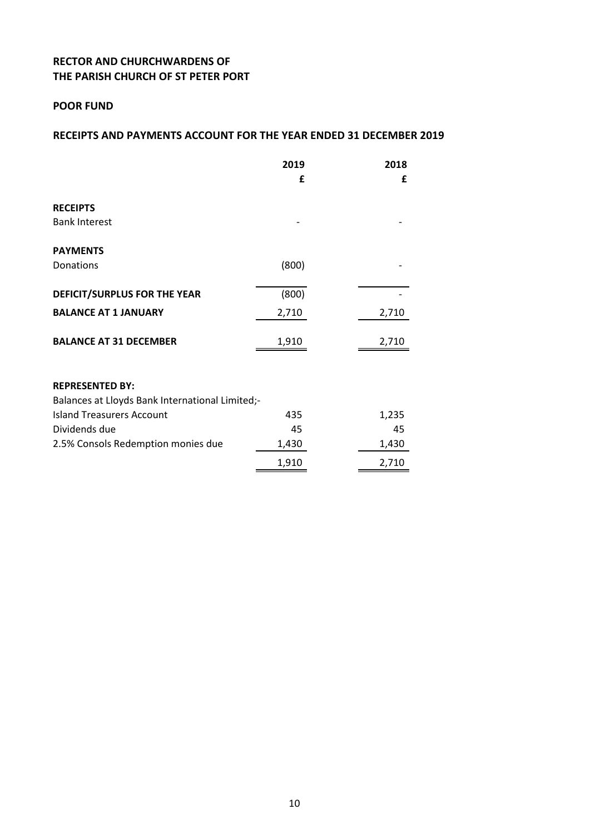### **POOR FUND**

|                                                 | 2019  | 2018  |
|-------------------------------------------------|-------|-------|
|                                                 | £     | £     |
| <b>RECEIPTS</b>                                 |       |       |
| <b>Bank Interest</b>                            |       |       |
| <b>PAYMENTS</b>                                 |       |       |
| Donations                                       | (800) |       |
| DEFICIT/SURPLUS FOR THE YEAR                    | (800) |       |
| <b>BALANCE AT 1 JANUARY</b>                     | 2,710 | 2,710 |
| <b>BALANCE AT 31 DECEMBER</b>                   | 1,910 | 2,710 |
| <b>REPRESENTED BY:</b>                          |       |       |
| Balances at Lloyds Bank International Limited;- |       |       |
| <b>Island Treasurers Account</b>                | 435   | 1,235 |
| Dividends due                                   | 45    | 45    |
| 2.5% Consols Redemption monies due              | 1,430 | 1,430 |
|                                                 | 1,910 | 2,710 |